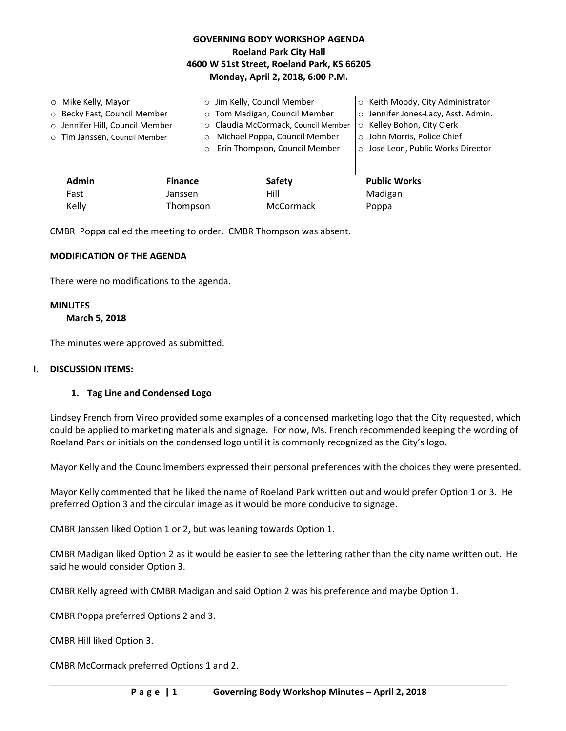## **GOVERNING BODY WORKSHOP AGENDA Roeland Park City Hall 4600 W 51st Street, Roeland Park, KS 66205 Monday, April 2, 2018, 6:00 P.M.**

| $\circ$ Mike Kelly, Mayor    |                                 |          | o Jim Kelly, Council Member              | ○ Keith Moody, City Administrator   |
|------------------------------|---------------------------------|----------|------------------------------------------|-------------------------------------|
| O Becky Fast, Council Member |                                 |          | o Tom Madigan, Council Member            | o Jennifer Jones-Lacy, Asst. Admin. |
|                              | o Jennifer Hill, Council Member |          | o Claudia McCormack, Council Member      | ○ Kelley Bohon, City Clerk          |
|                              | o Tim Janssen, Council Member   |          | Michael Poppa, Council Member<br>$\circ$ | ○ John Morris, Police Chief         |
|                              |                                 | $\circ$  | Erin Thompson, Council Member            | o Jose Leon, Public Works Director  |
|                              |                                 |          |                                          |                                     |
|                              | <b>Admin</b><br><b>Finance</b>  |          | Safety                                   | <b>Public Works</b>                 |
|                              | Fast                            | Janssen  | Hill                                     | Madigan                             |
|                              | Kelly                           | Thompson | McCormack                                | Poppa                               |
|                              |                                 |          |                                          |                                     |

CMBR Poppa called the meeting to order. CMBR Thompson was absent.

### **MODIFICATION OF THE AGENDA**

There were no modifications to the agenda.

## **MINUTES**

 **March 5, 2018** 

The minutes were approved as submitted.

#### **I. DISCUSSION ITEMS:**

#### **1. Tag Line and Condensed Logo**

Lindsey French from Vireo provided some examples of a condensed marketing logo that the City requested, which could be applied to marketing materials and signage. For now, Ms. French recommended keeping the wording of Roeland Park or initials on the condensed logo until it is commonly recognized as the City's logo.

Mayor Kelly and the Councilmembers expressed their personal preferences with the choices they were presented.

Mayor Kelly commented that he liked the name of Roeland Park written out and would prefer Option 1 or 3. He preferred Option 3 and the circular image as it would be more conducive to signage.

CMBR Janssen liked Option 1 or 2, but was leaning towards Option 1.

CMBR Madigan liked Option 2 as it would be easier to see the lettering rather than the city name written out. He said he would consider Option 3.

CMBR Kelly agreed with CMBR Madigan and said Option 2 was his preference and maybe Option 1.

CMBR Poppa preferred Options 2 and 3.

CMBR Hill liked Option 3.

CMBR McCormack preferred Options 1 and 2.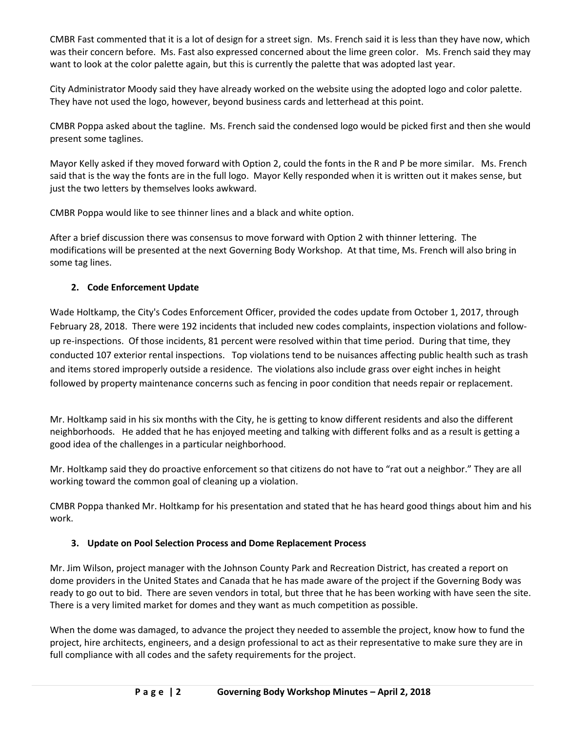CMBR Fast commented that it is a lot of design for a street sign. Ms. French said it is less than they have now, which was their concern before. Ms. Fast also expressed concerned about the lime green color. Ms. French said they may want to look at the color palette again, but this is currently the palette that was adopted last year.

City Administrator Moody said they have already worked on the website using the adopted logo and color palette. They have not used the logo, however, beyond business cards and letterhead at this point.

CMBR Poppa asked about the tagline. Ms. French said the condensed logo would be picked first and then she would present some taglines.

Mayor Kelly asked if they moved forward with Option 2, could the fonts in the R and P be more similar. Ms. French said that is the way the fonts are in the full logo. Mayor Kelly responded when it is written out it makes sense, but just the two letters by themselves looks awkward.

CMBR Poppa would like to see thinner lines and a black and white option.

After a brief discussion there was consensus to move forward with Option 2 with thinner lettering. The modifications will be presented at the next Governing Body Workshop. At that time, Ms. French will also bring in some tag lines.

# **2. Code Enforcement Update**

Wade Holtkamp, the City's Codes Enforcement Officer, provided the codes update from October 1, 2017, through February 28, 2018. There were 192 incidents that included new codes complaints, inspection violations and followup re-inspections. Of those incidents, 81 percent were resolved within that time period. During that time, they conducted 107 exterior rental inspections. Top violations tend to be nuisances affecting public health such as trash and items stored improperly outside a residence. The violations also include grass over eight inches in height followed by property maintenance concerns such as fencing in poor condition that needs repair or replacement.

Mr. Holtkamp said in his six months with the City, he is getting to know different residents and also the different neighborhoods. He added that he has enjoyed meeting and talking with different folks and as a result is getting a good idea of the challenges in a particular neighborhood.

Mr. Holtkamp said they do proactive enforcement so that citizens do not have to "rat out a neighbor." They are all working toward the common goal of cleaning up a violation.

CMBR Poppa thanked Mr. Holtkamp for his presentation and stated that he has heard good things about him and his work.

# **3. Update on Pool Selection Process and Dome Replacement Process**

Mr. Jim Wilson, project manager with the Johnson County Park and Recreation District, has created a report on dome providers in the United States and Canada that he has made aware of the project if the Governing Body was ready to go out to bid. There are seven vendors in total, but three that he has been working with have seen the site. There is a very limited market for domes and they want as much competition as possible.

When the dome was damaged, to advance the project they needed to assemble the project, know how to fund the project, hire architects, engineers, and a design professional to act as their representative to make sure they are in full compliance with all codes and the safety requirements for the project.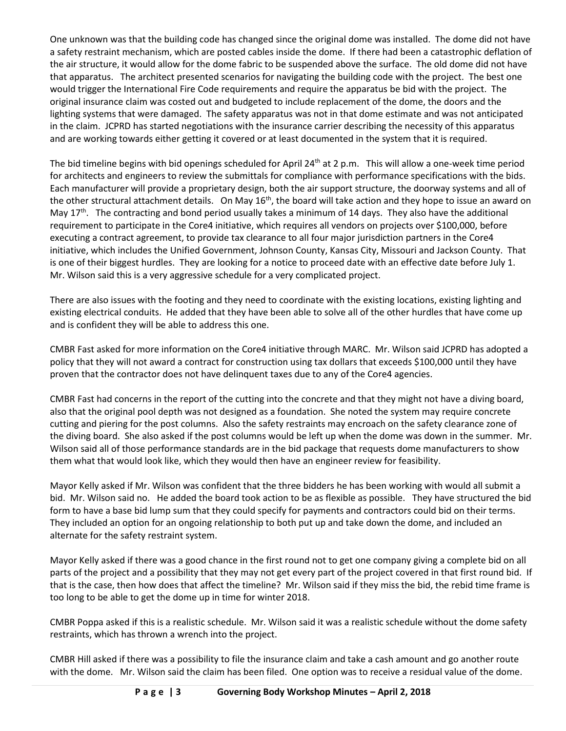One unknown was that the building code has changed since the original dome was installed. The dome did not have a safety restraint mechanism, which are posted cables inside the dome. If there had been a catastrophic deflation of the air structure, it would allow for the dome fabric to be suspended above the surface. The old dome did not have that apparatus. The architect presented scenarios for navigating the building code with the project. The best one would trigger the International Fire Code requirements and require the apparatus be bid with the project. The original insurance claim was costed out and budgeted to include replacement of the dome, the doors and the lighting systems that were damaged. The safety apparatus was not in that dome estimate and was not anticipated in the claim. JCPRD has started negotiations with the insurance carrier describing the necessity of this apparatus and are working towards either getting it covered or at least documented in the system that it is required.

The bid timeline begins with bid openings scheduled for April  $24<sup>th</sup>$  at 2 p.m. This will allow a one-week time period for architects and engineers to review the submittals for compliance with performance specifications with the bids. Each manufacturer will provide a proprietary design, both the air support structure, the doorway systems and all of the other structural attachment details. On May 16<sup>th</sup>, the board will take action and they hope to issue an award on May  $17<sup>th</sup>$ . The contracting and bond period usually takes a minimum of 14 days. They also have the additional requirement to participate in the Core4 initiative, which requires all vendors on projects over \$100,000, before executing a contract agreement, to provide tax clearance to all four major jurisdiction partners in the Core4 initiative, which includes the Unified Government, Johnson County, Kansas City, Missouri and Jackson County. That is one of their biggest hurdles. They are looking for a notice to proceed date with an effective date before July 1. Mr. Wilson said this is a very aggressive schedule for a very complicated project.

There are also issues with the footing and they need to coordinate with the existing locations, existing lighting and existing electrical conduits. He added that they have been able to solve all of the other hurdles that have come up and is confident they will be able to address this one.

CMBR Fast asked for more information on the Core4 initiative through MARC. Mr. Wilson said JCPRD has adopted a policy that they will not award a contract for construction using tax dollars that exceeds \$100,000 until they have proven that the contractor does not have delinquent taxes due to any of the Core4 agencies.

CMBR Fast had concerns in the report of the cutting into the concrete and that they might not have a diving board, also that the original pool depth was not designed as a foundation. She noted the system may require concrete cutting and piering for the post columns. Also the safety restraints may encroach on the safety clearance zone of the diving board. She also asked if the post columns would be left up when the dome was down in the summer. Mr. Wilson said all of those performance standards are in the bid package that requests dome manufacturers to show them what that would look like, which they would then have an engineer review for feasibility.

Mayor Kelly asked if Mr. Wilson was confident that the three bidders he has been working with would all submit a bid. Mr. Wilson said no. He added the board took action to be as flexible as possible. They have structured the bid form to have a base bid lump sum that they could specify for payments and contractors could bid on their terms. They included an option for an ongoing relationship to both put up and take down the dome, and included an alternate for the safety restraint system.

Mayor Kelly asked if there was a good chance in the first round not to get one company giving a complete bid on all parts of the project and a possibility that they may not get every part of the project covered in that first round bid. If that is the case, then how does that affect the timeline? Mr. Wilson said if they miss the bid, the rebid time frame is too long to be able to get the dome up in time for winter 2018.

CMBR Poppa asked if this is a realistic schedule. Mr. Wilson said it was a realistic schedule without the dome safety restraints, which has thrown a wrench into the project.

CMBR Hill asked if there was a possibility to file the insurance claim and take a cash amount and go another route with the dome. Mr. Wilson said the claim has been filed. One option was to receive a residual value of the dome.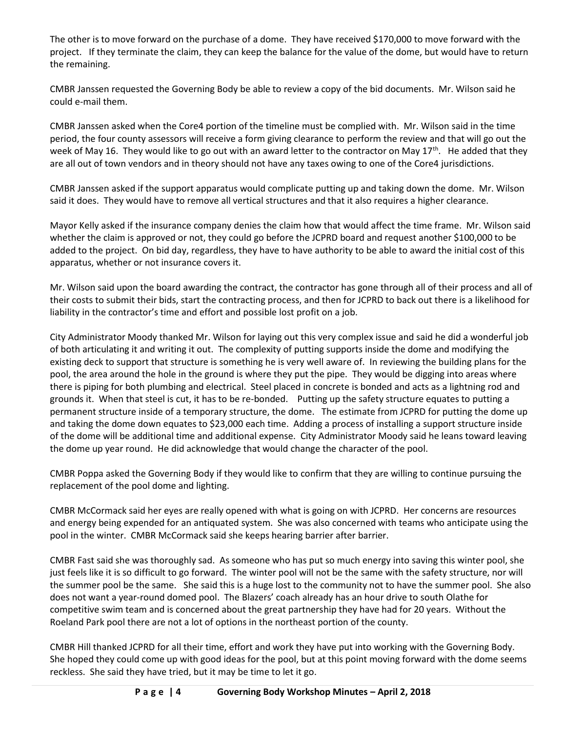The other is to move forward on the purchase of a dome. They have received \$170,000 to move forward with the project. If they terminate the claim, they can keep the balance for the value of the dome, but would have to return the remaining.

CMBR Janssen requested the Governing Body be able to review a copy of the bid documents. Mr. Wilson said he could e-mail them.

CMBR Janssen asked when the Core4 portion of the timeline must be complied with. Mr. Wilson said in the time period, the four county assessors will receive a form giving clearance to perform the review and that will go out the week of May 16. They would like to go out with an award letter to the contractor on May 17<sup>th</sup>. He added that they are all out of town vendors and in theory should not have any taxes owing to one of the Core4 jurisdictions.

CMBR Janssen asked if the support apparatus would complicate putting up and taking down the dome. Mr. Wilson said it does. They would have to remove all vertical structures and that it also requires a higher clearance.

Mayor Kelly asked if the insurance company denies the claim how that would affect the time frame. Mr. Wilson said whether the claim is approved or not, they could go before the JCPRD board and request another \$100,000 to be added to the project. On bid day, regardless, they have to have authority to be able to award the initial cost of this apparatus, whether or not insurance covers it.

Mr. Wilson said upon the board awarding the contract, the contractor has gone through all of their process and all of their costs to submit their bids, start the contracting process, and then for JCPRD to back out there is a likelihood for liability in the contractor's time and effort and possible lost profit on a job.

City Administrator Moody thanked Mr. Wilson for laying out this very complex issue and said he did a wonderful job of both articulating it and writing it out. The complexity of putting supports inside the dome and modifying the existing deck to support that structure is something he is very well aware of. In reviewing the building plans for the pool, the area around the hole in the ground is where they put the pipe. They would be digging into areas where there is piping for both plumbing and electrical. Steel placed in concrete is bonded and acts as a lightning rod and grounds it. When that steel is cut, it has to be re-bonded. Putting up the safety structure equates to putting a permanent structure inside of a temporary structure, the dome. The estimate from JCPRD for putting the dome up and taking the dome down equates to \$23,000 each time. Adding a process of installing a support structure inside of the dome will be additional time and additional expense. City Administrator Moody said he leans toward leaving the dome up year round. He did acknowledge that would change the character of the pool.

CMBR Poppa asked the Governing Body if they would like to confirm that they are willing to continue pursuing the replacement of the pool dome and lighting.

CMBR McCormack said her eyes are really opened with what is going on with JCPRD. Her concerns are resources and energy being expended for an antiquated system. She was also concerned with teams who anticipate using the pool in the winter. CMBR McCormack said she keeps hearing barrier after barrier.

CMBR Fast said she was thoroughly sad. As someone who has put so much energy into saving this winter pool, she just feels like it is so difficult to go forward. The winter pool will not be the same with the safety structure, nor will the summer pool be the same. She said this is a huge lost to the community not to have the summer pool. She also does not want a year-round domed pool. The Blazers' coach already has an hour drive to south Olathe for competitive swim team and is concerned about the great partnership they have had for 20 years. Without the Roeland Park pool there are not a lot of options in the northeast portion of the county.

CMBR Hill thanked JCPRD for all their time, effort and work they have put into working with the Governing Body. She hoped they could come up with good ideas for the pool, but at this point moving forward with the dome seems reckless. She said they have tried, but it may be time to let it go.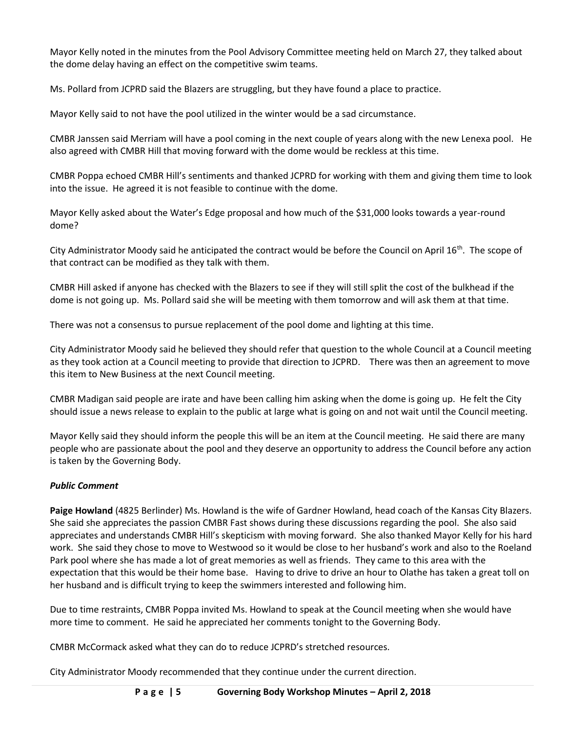Mayor Kelly noted in the minutes from the Pool Advisory Committee meeting held on March 27, they talked about the dome delay having an effect on the competitive swim teams.

Ms. Pollard from JCPRD said the Blazers are struggling, but they have found a place to practice.

Mayor Kelly said to not have the pool utilized in the winter would be a sad circumstance.

CMBR Janssen said Merriam will have a pool coming in the next couple of years along with the new Lenexa pool. He also agreed with CMBR Hill that moving forward with the dome would be reckless at this time.

CMBR Poppa echoed CMBR Hill's sentiments and thanked JCPRD for working with them and giving them time to look into the issue. He agreed it is not feasible to continue with the dome.

Mayor Kelly asked about the Water's Edge proposal and how much of the \$31,000 looks towards a year-round dome?

City Administrator Moody said he anticipated the contract would be before the Council on April 16<sup>th</sup>. The scope of that contract can be modified as they talk with them.

CMBR Hill asked if anyone has checked with the Blazers to see if they will still split the cost of the bulkhead if the dome is not going up. Ms. Pollard said she will be meeting with them tomorrow and will ask them at that time.

There was not a consensus to pursue replacement of the pool dome and lighting at this time.

City Administrator Moody said he believed they should refer that question to the whole Council at a Council meeting as they took action at a Council meeting to provide that direction to JCPRD. There was then an agreement to move this item to New Business at the next Council meeting.

CMBR Madigan said people are irate and have been calling him asking when the dome is going up. He felt the City should issue a news release to explain to the public at large what is going on and not wait until the Council meeting.

Mayor Kelly said they should inform the people this will be an item at the Council meeting. He said there are many people who are passionate about the pool and they deserve an opportunity to address the Council before any action is taken by the Governing Body.

## *Public Comment*

**Paige Howland** (4825 Berlinder) Ms. Howland is the wife of Gardner Howland, head coach of the Kansas City Blazers. She said she appreciates the passion CMBR Fast shows during these discussions regarding the pool. She also said appreciates and understands CMBR Hill's skepticism with moving forward. She also thanked Mayor Kelly for his hard work. She said they chose to move to Westwood so it would be close to her husband's work and also to the Roeland Park pool where she has made a lot of great memories as well as friends. They came to this area with the expectation that this would be their home base. Having to drive to drive an hour to Olathe has taken a great toll on her husband and is difficult trying to keep the swimmers interested and following him.

Due to time restraints, CMBR Poppa invited Ms. Howland to speak at the Council meeting when she would have more time to comment. He said he appreciated her comments tonight to the Governing Body.

CMBR McCormack asked what they can do to reduce JCPRD's stretched resources.

City Administrator Moody recommended that they continue under the current direction.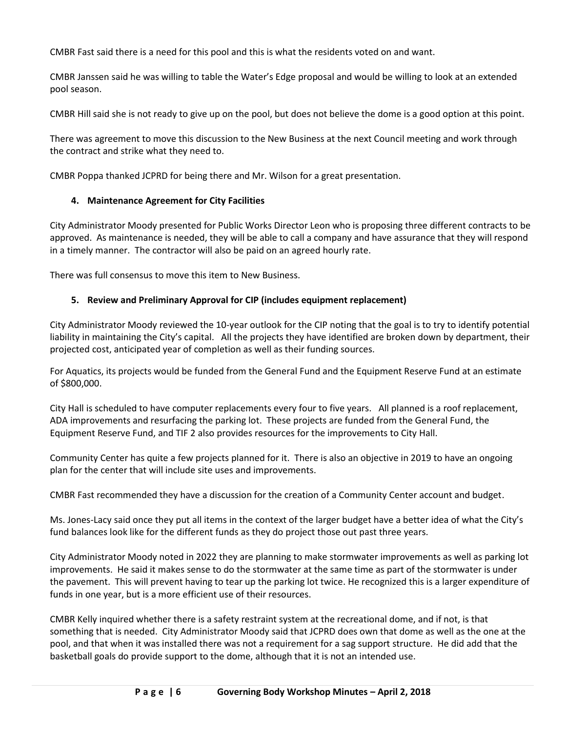CMBR Fast said there is a need for this pool and this is what the residents voted on and want.

CMBR Janssen said he was willing to table the Water's Edge proposal and would be willing to look at an extended pool season.

CMBR Hill said she is not ready to give up on the pool, but does not believe the dome is a good option at this point.

There was agreement to move this discussion to the New Business at the next Council meeting and work through the contract and strike what they need to.

CMBR Poppa thanked JCPRD for being there and Mr. Wilson for a great presentation.

## **4. Maintenance Agreement for City Facilities**

City Administrator Moody presented for Public Works Director Leon who is proposing three different contracts to be approved. As maintenance is needed, they will be able to call a company and have assurance that they will respond in a timely manner. The contractor will also be paid on an agreed hourly rate.

There was full consensus to move this item to New Business.

## **5. Review and Preliminary Approval for CIP (includes equipment replacement)**

City Administrator Moody reviewed the 10-year outlook for the CIP noting that the goal is to try to identify potential liability in maintaining the City's capital. All the projects they have identified are broken down by department, their projected cost, anticipated year of completion as well as their funding sources.

For Aquatics, its projects would be funded from the General Fund and the Equipment Reserve Fund at an estimate of \$800,000.

City Hall is scheduled to have computer replacements every four to five years. All planned is a roof replacement, ADA improvements and resurfacing the parking lot. These projects are funded from the General Fund, the Equipment Reserve Fund, and TIF 2 also provides resources for the improvements to City Hall.

Community Center has quite a few projects planned for it. There is also an objective in 2019 to have an ongoing plan for the center that will include site uses and improvements.

CMBR Fast recommended they have a discussion for the creation of a Community Center account and budget.

Ms. Jones-Lacy said once they put all items in the context of the larger budget have a better idea of what the City's fund balances look like for the different funds as they do project those out past three years.

City Administrator Moody noted in 2022 they are planning to make stormwater improvements as well as parking lot improvements. He said it makes sense to do the stormwater at the same time as part of the stormwater is under the pavement. This will prevent having to tear up the parking lot twice. He recognized this is a larger expenditure of funds in one year, but is a more efficient use of their resources.

CMBR Kelly inquired whether there is a safety restraint system at the recreational dome, and if not, is that something that is needed. City Administrator Moody said that JCPRD does own that dome as well as the one at the pool, and that when it was installed there was not a requirement for a sag support structure. He did add that the basketball goals do provide support to the dome, although that it is not an intended use.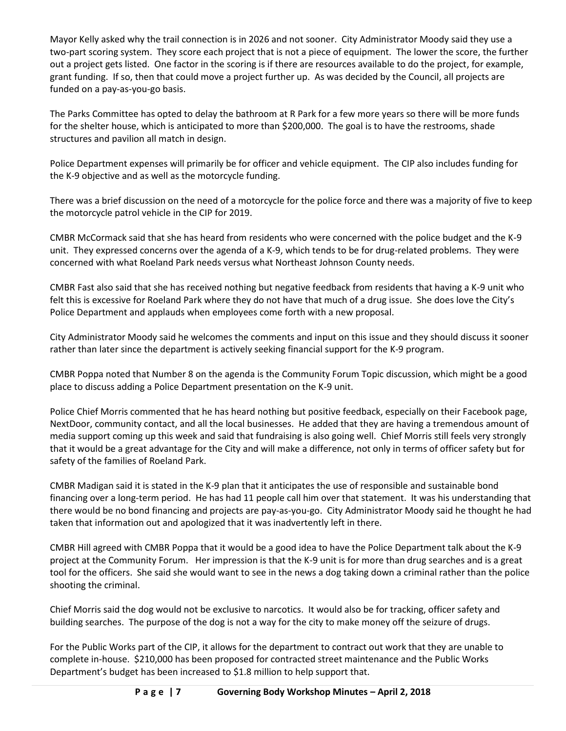Mayor Kelly asked why the trail connection is in 2026 and not sooner. City Administrator Moody said they use a two-part scoring system. They score each project that is not a piece of equipment. The lower the score, the further out a project gets listed. One factor in the scoring is if there are resources available to do the project, for example, grant funding. If so, then that could move a project further up. As was decided by the Council, all projects are funded on a pay-as-you-go basis.

The Parks Committee has opted to delay the bathroom at R Park for a few more years so there will be more funds for the shelter house, which is anticipated to more than \$200,000. The goal is to have the restrooms, shade structures and pavilion all match in design.

Police Department expenses will primarily be for officer and vehicle equipment. The CIP also includes funding for the K-9 objective and as well as the motorcycle funding.

There was a brief discussion on the need of a motorcycle for the police force and there was a majority of five to keep the motorcycle patrol vehicle in the CIP for 2019.

CMBR McCormack said that she has heard from residents who were concerned with the police budget and the K-9 unit. They expressed concerns over the agenda of a K-9, which tends to be for drug-related problems. They were concerned with what Roeland Park needs versus what Northeast Johnson County needs.

CMBR Fast also said that she has received nothing but negative feedback from residents that having a K-9 unit who felt this is excessive for Roeland Park where they do not have that much of a drug issue. She does love the City's Police Department and applauds when employees come forth with a new proposal.

City Administrator Moody said he welcomes the comments and input on this issue and they should discuss it sooner rather than later since the department is actively seeking financial support for the K-9 program.

CMBR Poppa noted that Number 8 on the agenda is the Community Forum Topic discussion, which might be a good place to discuss adding a Police Department presentation on the K-9 unit.

Police Chief Morris commented that he has heard nothing but positive feedback, especially on their Facebook page, NextDoor, community contact, and all the local businesses. He added that they are having a tremendous amount of media support coming up this week and said that fundraising is also going well. Chief Morris still feels very strongly that it would be a great advantage for the City and will make a difference, not only in terms of officer safety but for safety of the families of Roeland Park.

CMBR Madigan said it is stated in the K-9 plan that it anticipates the use of responsible and sustainable bond financing over a long-term period. He has had 11 people call him over that statement. It was his understanding that there would be no bond financing and projects are pay-as-you-go. City Administrator Moody said he thought he had taken that information out and apologized that it was inadvertently left in there.

CMBR Hill agreed with CMBR Poppa that it would be a good idea to have the Police Department talk about the K-9 project at the Community Forum. Her impression is that the K-9 unit is for more than drug searches and is a great tool for the officers. She said she would want to see in the news a dog taking down a criminal rather than the police shooting the criminal.

Chief Morris said the dog would not be exclusive to narcotics. It would also be for tracking, officer safety and building searches. The purpose of the dog is not a way for the city to make money off the seizure of drugs.

For the Public Works part of the CIP, it allows for the department to contract out work that they are unable to complete in-house. \$210,000 has been proposed for contracted street maintenance and the Public Works Department's budget has been increased to \$1.8 million to help support that.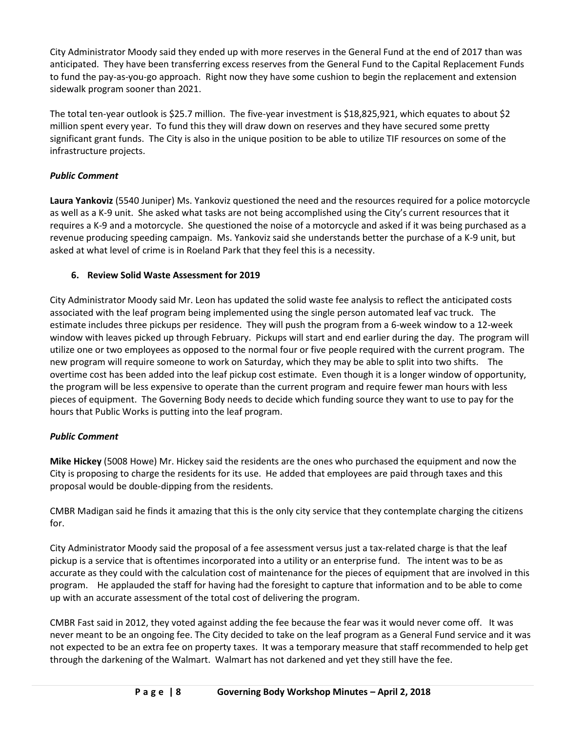City Administrator Moody said they ended up with more reserves in the General Fund at the end of 2017 than was anticipated. They have been transferring excess reserves from the General Fund to the Capital Replacement Funds to fund the pay-as-you-go approach. Right now they have some cushion to begin the replacement and extension sidewalk program sooner than 2021.

The total ten-year outlook is \$25.7 million. The five-year investment is \$18,825,921, which equates to about \$2 million spent every year. To fund this they will draw down on reserves and they have secured some pretty significant grant funds. The City is also in the unique position to be able to utilize TIF resources on some of the infrastructure projects.

## *Public Comment*

**Laura Yankoviz** (5540 Juniper) Ms. Yankoviz questioned the need and the resources required for a police motorcycle as well as a K-9 unit. She asked what tasks are not being accomplished using the City's current resources that it requires a K-9 and a motorcycle. She questioned the noise of a motorcycle and asked if it was being purchased as a revenue producing speeding campaign. Ms. Yankoviz said she understands better the purchase of a K-9 unit, but asked at what level of crime is in Roeland Park that they feel this is a necessity.

## **6. Review Solid Waste Assessment for 2019**

City Administrator Moody said Mr. Leon has updated the solid waste fee analysis to reflect the anticipated costs associated with the leaf program being implemented using the single person automated leaf vac truck. The estimate includes three pickups per residence. They will push the program from a 6-week window to a 12-week window with leaves picked up through February. Pickups will start and end earlier during the day. The program will utilize one or two employees as opposed to the normal four or five people required with the current program. The new program will require someone to work on Saturday, which they may be able to split into two shifts. The overtime cost has been added into the leaf pickup cost estimate. Even though it is a longer window of opportunity, the program will be less expensive to operate than the current program and require fewer man hours with less pieces of equipment. The Governing Body needs to decide which funding source they want to use to pay for the hours that Public Works is putting into the leaf program.

# *Public Comment*

**Mike Hickey** (5008 Howe) Mr. Hickey said the residents are the ones who purchased the equipment and now the City is proposing to charge the residents for its use. He added that employees are paid through taxes and this proposal would be double-dipping from the residents.

CMBR Madigan said he finds it amazing that this is the only city service that they contemplate charging the citizens for.

City Administrator Moody said the proposal of a fee assessment versus just a tax-related charge is that the leaf pickup is a service that is oftentimes incorporated into a utility or an enterprise fund. The intent was to be as accurate as they could with the calculation cost of maintenance for the pieces of equipment that are involved in this program. He applauded the staff for having had the foresight to capture that information and to be able to come up with an accurate assessment of the total cost of delivering the program.

CMBR Fast said in 2012, they voted against adding the fee because the fear was it would never come off. It was never meant to be an ongoing fee. The City decided to take on the leaf program as a General Fund service and it was not expected to be an extra fee on property taxes. It was a temporary measure that staff recommended to help get through the darkening of the Walmart. Walmart has not darkened and yet they still have the fee.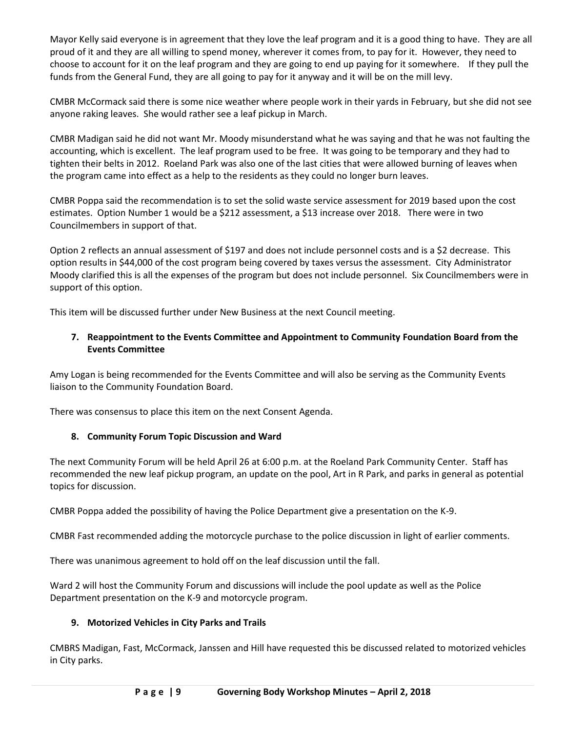Mayor Kelly said everyone is in agreement that they love the leaf program and it is a good thing to have. They are all proud of it and they are all willing to spend money, wherever it comes from, to pay for it. However, they need to choose to account for it on the leaf program and they are going to end up paying for it somewhere. If they pull the funds from the General Fund, they are all going to pay for it anyway and it will be on the mill levy.

CMBR McCormack said there is some nice weather where people work in their yards in February, but she did not see anyone raking leaves. She would rather see a leaf pickup in March.

CMBR Madigan said he did not want Mr. Moody misunderstand what he was saying and that he was not faulting the accounting, which is excellent. The leaf program used to be free. It was going to be temporary and they had to tighten their belts in 2012. Roeland Park was also one of the last cities that were allowed burning of leaves when the program came into effect as a help to the residents as they could no longer burn leaves.

CMBR Poppa said the recommendation is to set the solid waste service assessment for 2019 based upon the cost estimates. Option Number 1 would be a \$212 assessment, a \$13 increase over 2018. There were in two Councilmembers in support of that.

Option 2 reflects an annual assessment of \$197 and does not include personnel costs and is a \$2 decrease. This option results in \$44,000 of the cost program being covered by taxes versus the assessment. City Administrator Moody clarified this is all the expenses of the program but does not include personnel. Six Councilmembers were in support of this option.

This item will be discussed further under New Business at the next Council meeting.

## **7. Reappointment to the Events Committee and Appointment to Community Foundation Board from the Events Committee**

Amy Logan is being recommended for the Events Committee and will also be serving as the Community Events liaison to the Community Foundation Board.

There was consensus to place this item on the next Consent Agenda.

## **8. Community Forum Topic Discussion and Ward**

The next Community Forum will be held April 26 at 6:00 p.m. at the Roeland Park Community Center. Staff has recommended the new leaf pickup program, an update on the pool, Art in R Park, and parks in general as potential topics for discussion.

CMBR Poppa added the possibility of having the Police Department give a presentation on the K-9.

CMBR Fast recommended adding the motorcycle purchase to the police discussion in light of earlier comments.

There was unanimous agreement to hold off on the leaf discussion until the fall.

Ward 2 will host the Community Forum and discussions will include the pool update as well as the Police Department presentation on the K-9 and motorcycle program.

## **9. Motorized Vehicles in City Parks and Trails**

CMBRS Madigan, Fast, McCormack, Janssen and Hill have requested this be discussed related to motorized vehicles in City parks.